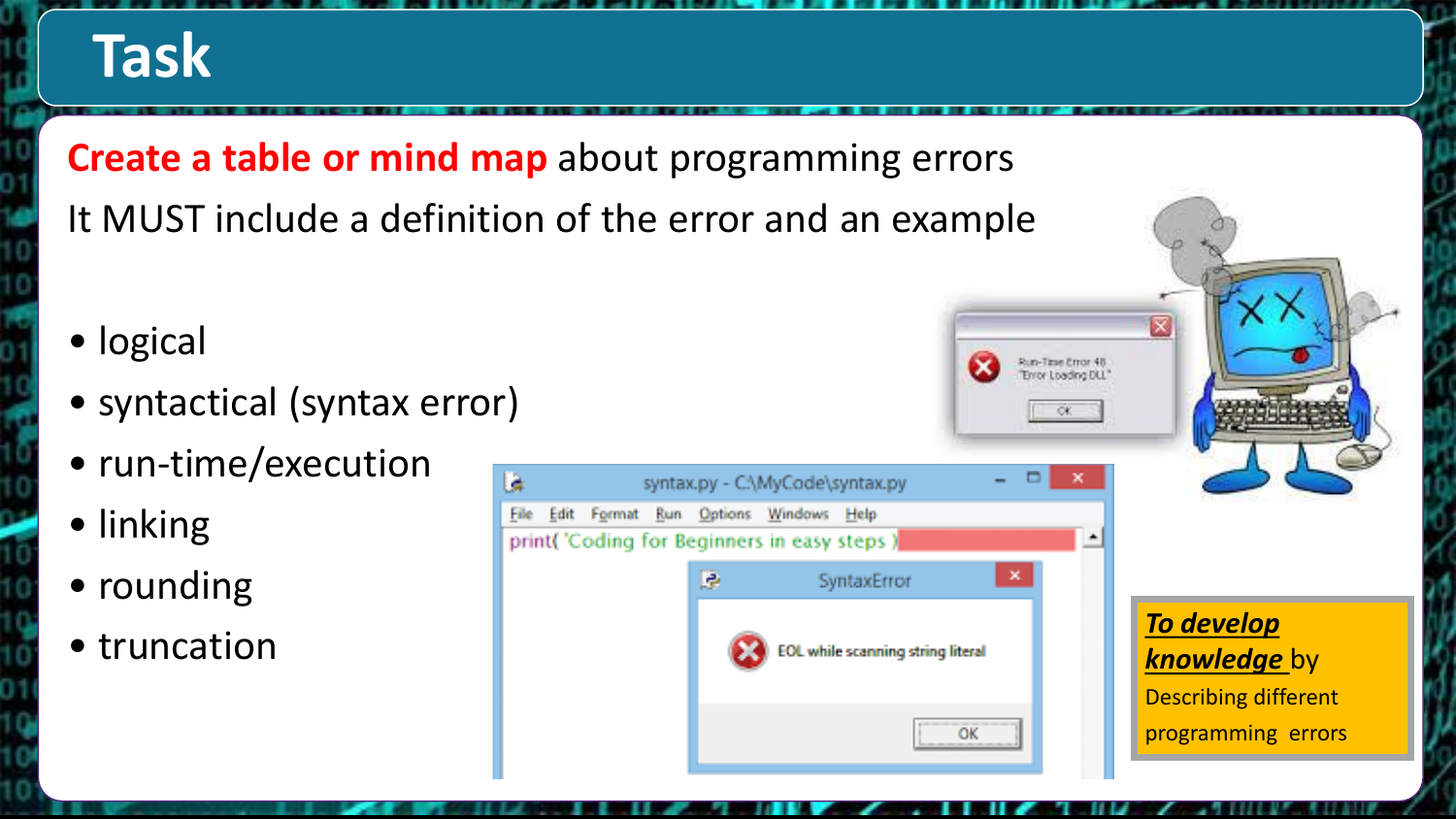# **Task**

**Create a table or mind map** about programming errors It MUST include a definition of the error and an example

- logical
- syntactical (syntax error)
- run-time/execution
- linking
- rounding
- 



*knowledge* by Describing different programming errors

Run-Titse Error 48 TJO polbec J voir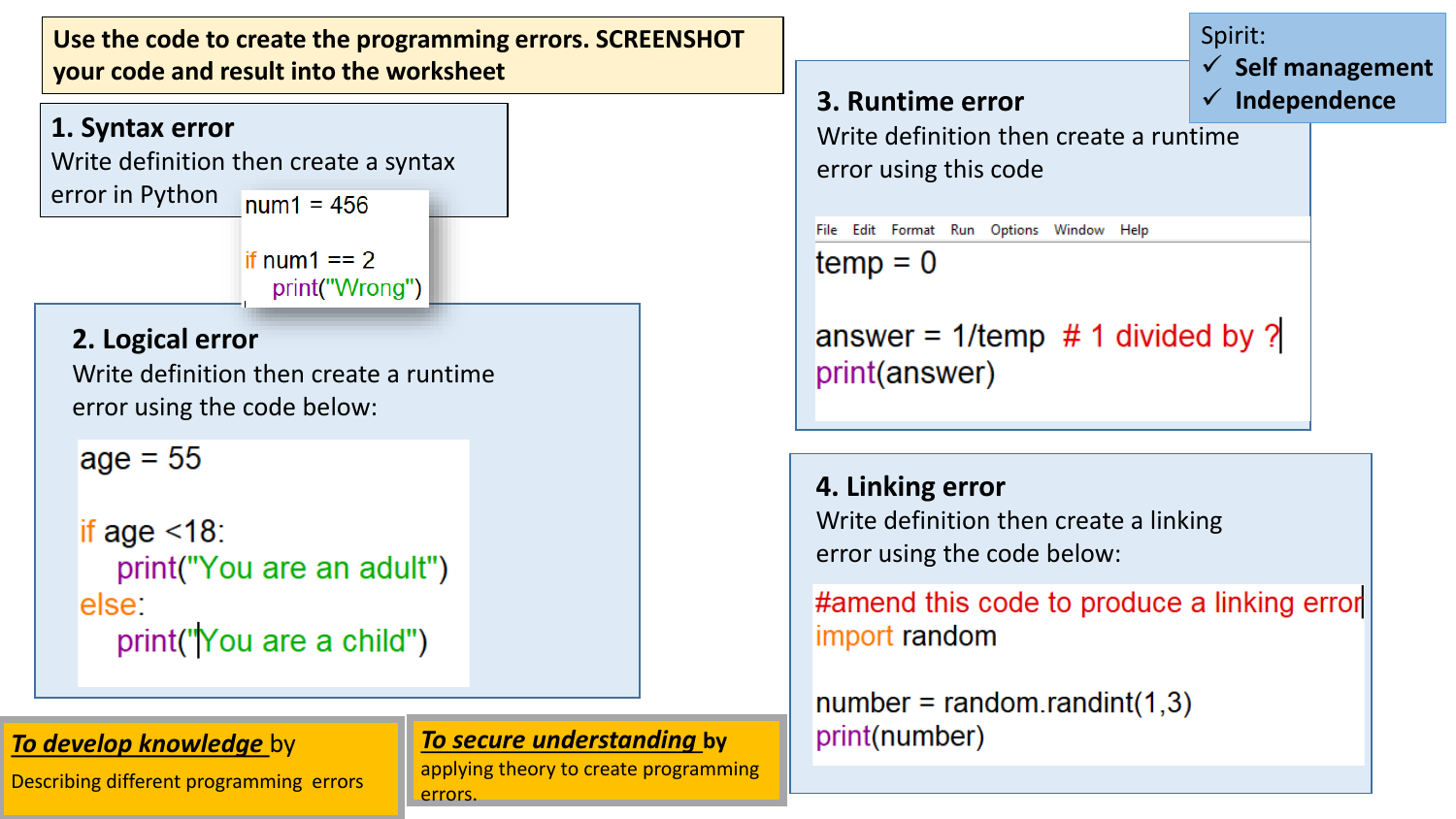



#### *To develop knowledge* by

Describing different programming errors

### *To secure understanding* **by**

applying theory to create programming errors.

| 3. Runtime error                                                                          | Spirit:<br>$\checkmark$ Self management<br>$\checkmark$ Independence |  |  |  |
|-------------------------------------------------------------------------------------------|----------------------------------------------------------------------|--|--|--|
| Write definition then create a runtime<br>error using this code                           |                                                                      |  |  |  |
| Options<br>Window<br>File<br>Edit<br>Format Run<br>Help                                   |                                                                      |  |  |  |
| $temp = 0$<br>answer = $1$ /temp # 1 divided by ?<br>print(answer)                        |                                                                      |  |  |  |
| 4. Linking error<br>Write definition then create a linking<br>error using the code below: |                                                                      |  |  |  |
| #amend this code to produce a linking error<br>import random                              |                                                                      |  |  |  |

 $number = random.random(1,3)$ print(number)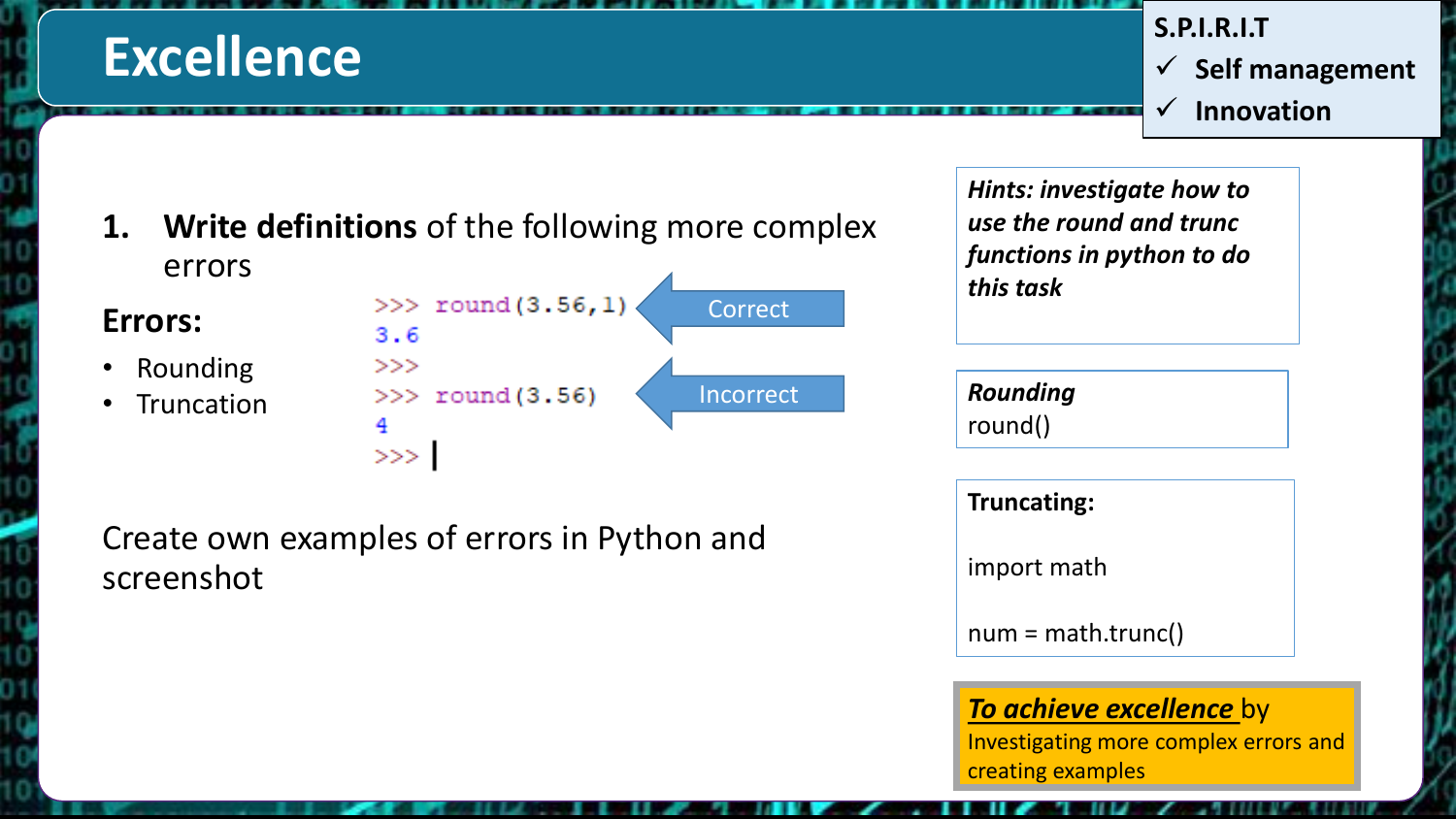## **Excellence**

**S.P.I.R.I.T**  $\checkmark$  Self management

**Innovation**

**1. Write definitions** of the following more complex errors

**Errors:**

- Rounding
- Truncation



*Hints: investigate how to use the round and trunc functions in python to do this task*

*Rounding* round()

**Truncating:**

import math

num = math.trunc()

### *To achieve excellence* by

Investigating more complex errors and creating examples

Create own examples of errors in Python and screenshot